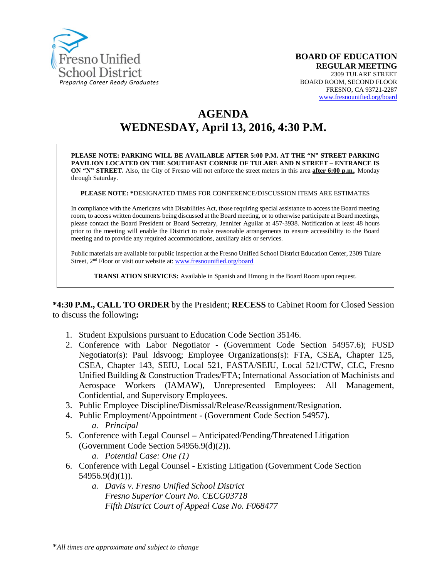

# **AGENDA WEDNESDAY, April 13, 2016, 4:30 P.M.**

**PLEASE NOTE: PARKING WILL BE AVAILABLE AFTER 5:00 P.M. AT THE "N" STREET PARKING PAVILION LOCATED ON THE SOUTHEAST CORNER OF TULARE AND N STREET – ENTRANCE IS ON "N" STREET.** Also, the City of Fresno will not enforce the street meters in this area **after 6:00 p.m.**, Monday through Saturday.

**PLEASE NOTE: \***DESIGNATED TIMES FOR CONFERENCE/DISCUSSION ITEMS ARE ESTIMATES

In compliance with the Americans with Disabilities Act, those requiring special assistance to access the Board meeting room, to access written documents being discussed at the Board meeting, or to otherwise participate at Board meetings, please contact the Board President or Board Secretary, Jennifer Aguilar at 457-3938. Notification at least 48 hours prior to the meeting will enable the District to make reasonable arrangements to ensure accessibility to the Board meeting and to provide any required accommodations, auxiliary aids or services.

Public materials are available for public inspection at the Fresno Unified School District Education Center, 2309 Tulare Street, 2<sup>nd</sup> Floor or visit our website at: [www.fresnounified.org/board](http://www.fresnounified.org/board)

**TRANSLATION SERVICES:** Available in Spanish and Hmong in the Board Room upon request.

**\*4:30 P.M., CALL TO ORDER** by the President; **RECESS** to Cabinet Room for Closed Session to discuss the following**:**

- 1. Student Expulsions pursuant to Education Code Section 35146.
- 2. Conference with Labor Negotiator (Government Code Section 54957.6); FUSD Negotiator(s): Paul Idsvoog; Employee Organizations(s): FTA, CSEA, Chapter 125, CSEA, Chapter 143, SEIU, Local 521, FASTA/SEIU, Local 521/CTW, CLC, Fresno Unified Building & Construction Trades/FTA; International Association of Machinists and Aerospace Workers (IAMAW), Unrepresented Employees: All Management, Confidential, and Supervisory Employees.
- 3. Public Employee Discipline/Dismissal/Release/Reassignment/Resignation.
- 4. Public Employment/Appointment (Government Code Section 54957).
	- *a. Principal*
- 5. Conference with Legal Counsel **–** Anticipated/Pending/Threatened Litigation (Government Code Section 54956.9(d)(2)).
	- *a. Potential Case: One (1)*
- 6. Conference with Legal Counsel Existing Litigation (Government Code Section  $54956.9(d)(1)$ ).
	- *a. Davis v. Fresno Unified School District Fresno Superior Court No. CECG03718 Fifth District Court of Appeal Case No. F068477*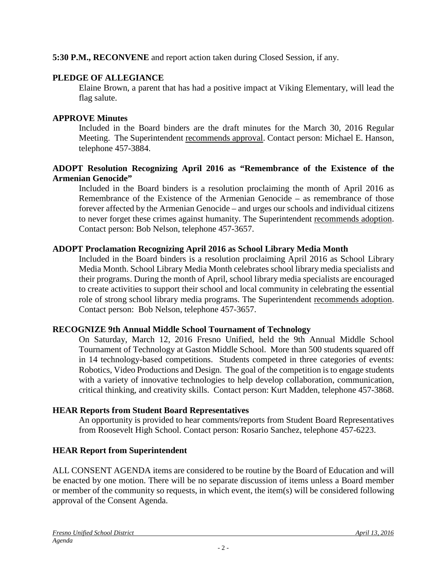**5:30 P.M., RECONVENE** and report action taken during Closed Session, if any.

# **PLEDGE OF ALLEGIANCE**

Elaine Brown, a parent that has had a positive impact at Viking Elementary, will lead the flag salute.

# **APPROVE Minutes**

Included in the Board binders are the draft minutes for the March 30, 2016 Regular Meeting. The Superintendent recommends approval. Contact person: Michael E. Hanson, telephone 457-3884.

# **ADOPT Resolution Recognizing April 2016 as "Remembrance of the Existence of the Armenian Genocide"**

Included in the Board binders is a resolution proclaiming the month of April 2016 as Remembrance of the Existence of the Armenian Genocide – as remembrance of those forever affected by the Armenian Genocide – and urges our schools and individual citizens to never forget these crimes against humanity. The Superintendent recommends adoption. Contact person: Bob Nelson, telephone 457-3657.

# **ADOPT Proclamation Recognizing April 2016 as School Library Media Month**

Included in the Board binders is a resolution proclaiming April 2016 as School Library Media Month. School Library Media Month celebrates school library media specialists and their programs. During the month of April, school library media specialists are encouraged to create activities to support their school and local community in celebrating the essential role of strong school library media programs. The Superintendent recommends adoption. Contact person: Bob Nelson, telephone 457-3657.

# **RECOGNIZE 9th Annual Middle School Tournament of Technology**

On Saturday, March 12, 2016 Fresno Unified, held the 9th Annual Middle School Tournament of Technology at Gaston Middle School. More than 500 students squared off in 14 technology-based competitions. Students competed in three categories of events: Robotics, Video Productions and Design. The goal of the competition is to engage students with a variety of innovative technologies to help develop collaboration, communication, critical thinking, and creativity skills. Contact person: Kurt Madden, telephone 457-3868.

# **HEAR Reports from Student Board Representatives**

An opportunity is provided to hear comments/reports from Student Board Representatives from Roosevelt High School. Contact person: Rosario Sanchez, telephone 457-6223.

# **HEAR Report from Superintendent**

ALL CONSENT AGENDA items are considered to be routine by the Board of Education and will be enacted by one motion. There will be no separate discussion of items unless a Board member or member of the community so requests, in which event, the item(s) will be considered following approval of the Consent Agenda.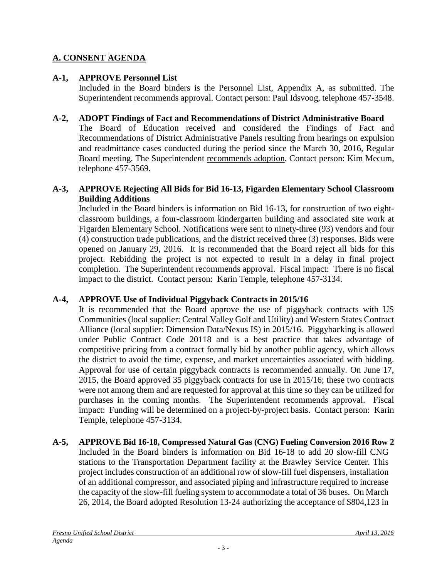# **A. CONSENT AGENDA**

# **A-1, APPROVE Personnel List**

Included in the Board binders is the Personnel List, Appendix A, as submitted. The Superintendent recommends approval. Contact person: Paul Idsvoog, telephone 457-3548.

#### **A-2, ADOPT Findings of Fact and Recommendations of District Administrative Board**

The Board of Education received and considered the Findings of Fact and Recommendations of District Administrative Panels resulting from hearings on expulsion and readmittance cases conducted during the period since the March 30, 2016, Regular Board meeting. The Superintendent recommends adoption. Contact person: Kim Mecum, telephone 457-3569.

#### **A-3, APPROVE Rejecting All Bids for Bid 16-13, Figarden Elementary School Classroom Building Additions**

Included in the Board binders is information on Bid 16-13, for construction of two eightclassroom buildings, a four-classroom kindergarten building and associated site work at Figarden Elementary School. Notifications were sent to ninety-three (93) vendors and four (4) construction trade publications, and the district received three (3) responses. Bids were opened on January 29, 2016. It is recommended that the Board reject all bids for this project. Rebidding the project is not expected to result in a delay in final project completion. The Superintendent recommends approval. Fiscal impact: There is no fiscal impact to the district. Contact person: Karin Temple, telephone 457-3134.

#### **A-4, APPROVE Use of Individual Piggyback Contracts in 2015/16**

It is recommended that the Board approve the use of piggyback contracts with US Communities (local supplier: Central Valley Golf and Utility) and Western States Contract Alliance (local supplier: Dimension Data/Nexus IS) in 2015/16. Piggybacking is allowed under Public Contract Code 20118 and is a best practice that takes advantage of competitive pricing from a contract formally bid by another public agency, which allows the district to avoid the time, expense, and market uncertainties associated with bidding. Approval for use of certain piggyback contracts is recommended annually. On June 17, 2015, the Board approved 35 piggyback contracts for use in 2015/16; these two contracts were not among them and are requested for approval at this time so they can be utilized for purchases in the coming months. The Superintendent recommends approval. Fiscal impact: Funding will be determined on a project-by-project basis. Contact person: Karin Temple, telephone 457-3134.

# **A-5, APPROVE Bid 16-18, Compressed Natural Gas (CNG) Fueling Conversion 2016 Row 2**

Included in the Board binders is information on Bid 16-18 to add 20 slow-fill CNG stations to the Transportation Department facility at the Brawley Service Center. This project includes construction of an additional row of slow-fill fuel dispensers, installation of an additional compressor, and associated piping and infrastructure required to increase the capacity of the slow-fill fueling system to accommodate a total of 36 buses. On March 26, 2014, the Board adopted Resolution 13-24 authorizing the acceptance of \$804,123 in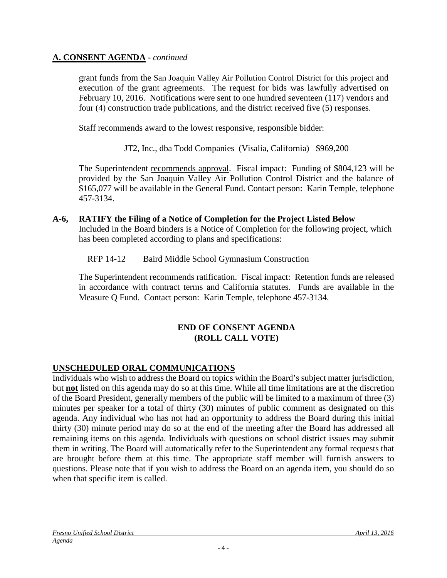### **A. CONSENT AGENDA** - *continued*

grant funds from the San Joaquin Valley Air Pollution Control District for this project and execution of the grant agreements. The request for bids was lawfully advertised on February 10, 2016. Notifications were sent to one hundred seventeen (117) vendors and four (4) construction trade publications, and the district received five (5) responses.

Staff recommends award to the lowest responsive, responsible bidder:

JT2, Inc., dba Todd Companies (Visalia, California) \$969,200

The Superintendent recommends approval. Fiscal impact: Funding of \$804,123 will be provided by the San Joaquin Valley Air Pollution Control District and the balance of \$165,077 will be available in the General Fund. Contact person: Karin Temple, telephone 457-3134.

#### **A-6, RATIFY the Filing of a Notice of Completion for the Project Listed Below**

Included in the Board binders is a Notice of Completion for the following project, which has been completed according to plans and specifications:

RFP 14-12 Baird Middle School Gymnasium Construction

The Superintendent recommends ratification. Fiscal impact: Retention funds are released in accordance with contract terms and California statutes. Funds are available in the Measure Q Fund. Contact person: Karin Temple, telephone 457-3134.

#### **END OF CONSENT AGENDA (ROLL CALL VOTE)**

# **UNSCHEDULED ORAL COMMUNICATIONS**

Individuals who wish to address the Board on topics within the Board's subject matter jurisdiction, but **not** listed on this agenda may do so at this time. While all time limitations are at the discretion of the Board President, generally members of the public will be limited to a maximum of three (3) minutes per speaker for a total of thirty (30) minutes of public comment as designated on this agenda. Any individual who has not had an opportunity to address the Board during this initial thirty (30) minute period may do so at the end of the meeting after the Board has addressed all remaining items on this agenda. Individuals with questions on school district issues may submit them in writing. The Board will automatically refer to the Superintendent any formal requests that are brought before them at this time. The appropriate staff member will furnish answers to questions. Please note that if you wish to address the Board on an agenda item, you should do so when that specific item is called.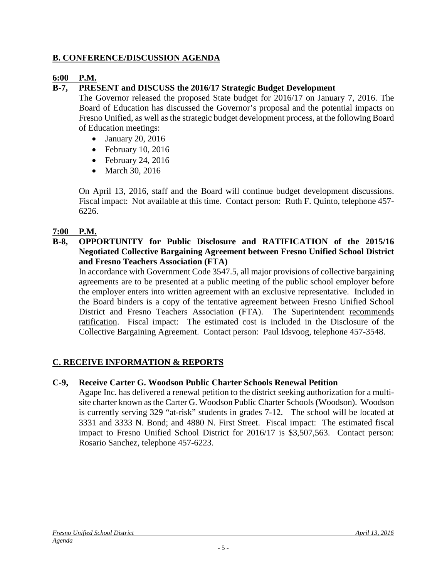# **B. CONFERENCE/DISCUSSION AGENDA**

# **6:00 P.M.**

# **B-7, PRESENT and DISCUSS the 2016/17 Strategic Budget Development**

The Governor released the proposed State budget for 2016/17 on January 7, 2016. The Board of Education has discussed the Governor's proposal and the potential impacts on Fresno Unified, as well as the strategic budget development process, at the following Board of Education meetings:

- January 20, 2016
- February 10, 2016
- February 24, 2016
- March 30, 2016

On April 13, 2016, staff and the Board will continue budget development discussions. Fiscal impact: Not available at this time. Contact person: Ruth F. Quinto, telephone 457- 6226.

# **7:00 P.M.**

**B-8, OPPORTUNITY for Public Disclosure and RATIFICATION of the 2015/16 Negotiated Collective Bargaining Agreement between Fresno Unified School District and Fresno Teachers Association (FTA)**

In accordance with Government Code 3547.5, all major provisions of collective bargaining agreements are to be presented at a public meeting of the public school employer before the employer enters into written agreement with an exclusive representative. Included in the Board binders is a copy of the tentative agreement between Fresno Unified School District and Fresno Teachers Association (FTA). The Superintendent recommends ratification. Fiscal impact: The estimated cost is included in the Disclosure of the Collective Bargaining Agreement. Contact person: Paul Idsvoog, telephone 457-3548.

# **C. RECEIVE INFORMATION & REPORTS**

# **C-9, Receive Carter G. Woodson Public Charter Schools Renewal Petition**

Agape Inc. has delivered a renewal petition to the district seeking authorization for a multisite charter known as the Carter G. Woodson Public Charter Schools (Woodson).Woodson is currently serving 329 "at-risk" students in grades 7-12. The school will be located at 3331 and 3333 N. Bond; and 4880 N. First Street. Fiscal impact: The estimated fiscal impact to Fresno Unified School District for 2016/17 is \$3,507,563. Contact person: Rosario Sanchez, telephone 457-6223.